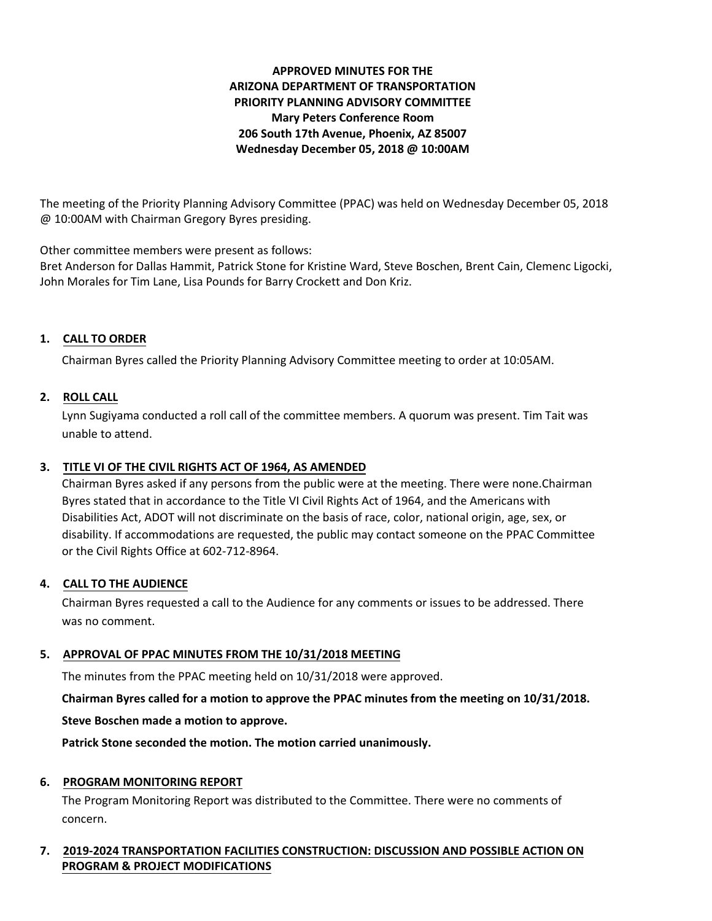# **APPROVED MINUTES FOR THE ARIZONA DEPARTMENT OF TRANSPORTATION PRIORITY PLANNING ADVISORY COMMITTEE Mary Peters Conference Room 206 South 17th Avenue, Phoenix, AZ 85007 Wednesday December 05, 2018 @ 10:00AM**

The meeting of the Priority Planning Advisory Committee (PPAC) was held on Wednesday December 05, 2018 @ 10:00AM with Chairman Gregory Byres presiding.

Other committee members were present as follows:

Bret Anderson for Dallas Hammit, Patrick Stone for Kristine Ward, Steve Boschen, Brent Cain, Clemenc Ligocki, John Morales for Tim Lane, Lisa Pounds for Barry Crockett and Don Kriz.

# **1. CALL TO ORDER**

Chairman Byres called the Priority Planning Advisory Committee meeting to order at 10:05AM.

# **2. ROLL CALL**

Lynn Sugiyama conducted a roll call of the committee members. A quorum was present. Tim Tait was unable to attend.

# **3. TITLE VI OF THE CIVIL RIGHTS ACT OF 1964, AS AMENDED**

Chairman Byres asked if any persons from the public were at the meeting. There were none.Chairman Byres stated that in accordance to the Title VI Civil Rights Act of 1964, and the Americans with Disabilities Act, ADOT will not discriminate on the basis of race, color, national origin, age, sex, or disability. If accommodations are requested, the public may contact someone on the PPAC Committee or the Civil Rights Office at 602-712-8964.

# **4. CALL TO THE AUDIENCE**

Chairman Byres requested a call to the Audience for any comments or issues to be addressed. There was no comment.

# **5. APPROVAL OF PPAC MINUTES FROM THE 10/31/2018 MEETING**

The minutes from the PPAC meeting held on 10/31/2018 were approved.

**Chairman Byres called for a motion to approve the PPAC minutes from the meeting on 10/31/2018.**

**Steve Boschen made a motion to approve.**

**Patrick Stone seconded the motion. The motion carried unanimously.**

# **6. PROGRAM MONITORING REPORT**

The Program Monitoring Report was distributed to the Committee. There were no comments of concern.

# **7. 2019-2024 TRANSPORTATION FACILITIES CONSTRUCTION: DISCUSSION AND POSSIBLE ACTION ON PROGRAM & PROJECT MODIFICATIONS**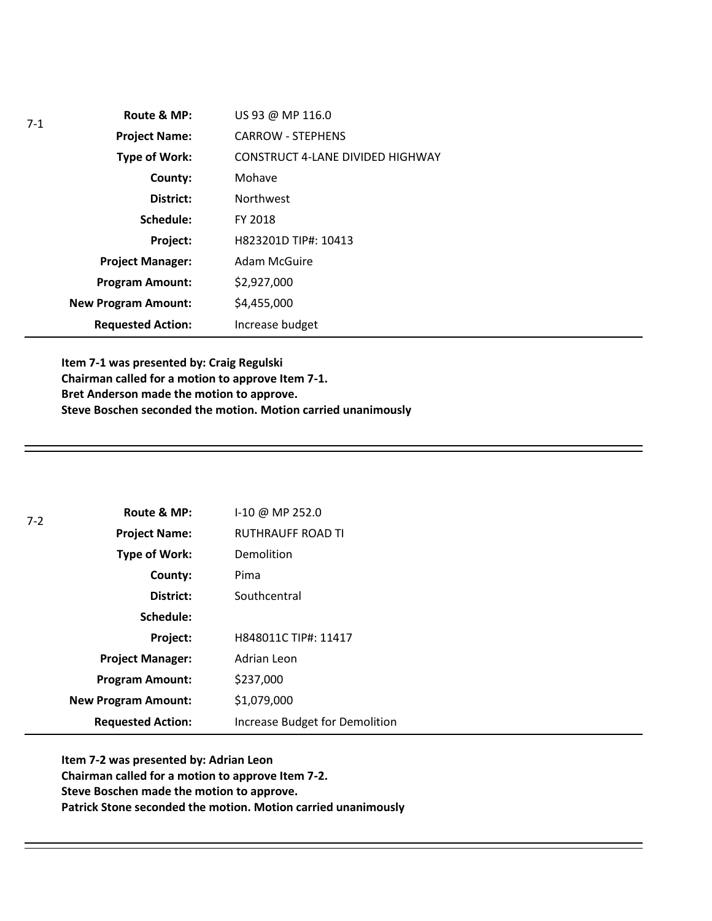| $7-1$ | Route & MP:                | US 93 @ MP 116.0                        |
|-------|----------------------------|-----------------------------------------|
|       | <b>Project Name:</b>       | <b>CARROW - STEPHENS</b>                |
|       | <b>Type of Work:</b>       | <b>CONSTRUCT 4-LANE DIVIDED HIGHWAY</b> |
|       | County:                    | Mohave                                  |
|       | District:                  | <b>Northwest</b>                        |
|       | Schedule:                  | FY 2018                                 |
|       | Project:                   | H823201D TIP#: 10413                    |
|       | <b>Project Manager:</b>    | Adam McGuire                            |
|       | <b>Program Amount:</b>     | \$2,927,000                             |
|       | <b>New Program Amount:</b> | \$4,455,000                             |
|       | <b>Requested Action:</b>   | Increase budget                         |

**Item 7-1 was presented by: Craig Regulski Chairman called for a motion to approve Item 7-1. Bret Anderson made the motion to approve. Steve Boschen seconded the motion. Motion carried unanimously**

| $7 - 2$ | Route & MP:                | $1-10 \omega$ MP 252.0         |
|---------|----------------------------|--------------------------------|
|         | <b>Project Name:</b>       | <b>RUTHRAUFF ROAD TI</b>       |
|         | <b>Type of Work:</b>       | Demolition                     |
|         | County:                    | Pima                           |
|         | District:                  | Southcentral                   |
|         | Schedule:                  |                                |
|         | Project:                   | H848011C TIP#: 11417           |
|         | <b>Project Manager:</b>    | Adrian Leon                    |
|         | <b>Program Amount:</b>     | \$237,000                      |
|         | <b>New Program Amount:</b> | \$1,079,000                    |
|         | <b>Requested Action:</b>   | Increase Budget for Demolition |

**Item 7-2 was presented by: Adrian Leon Chairman called for a motion to approve Item 7-2. Steve Boschen made the motion to approve. Patrick Stone seconded the motion. Motion carried unanimously**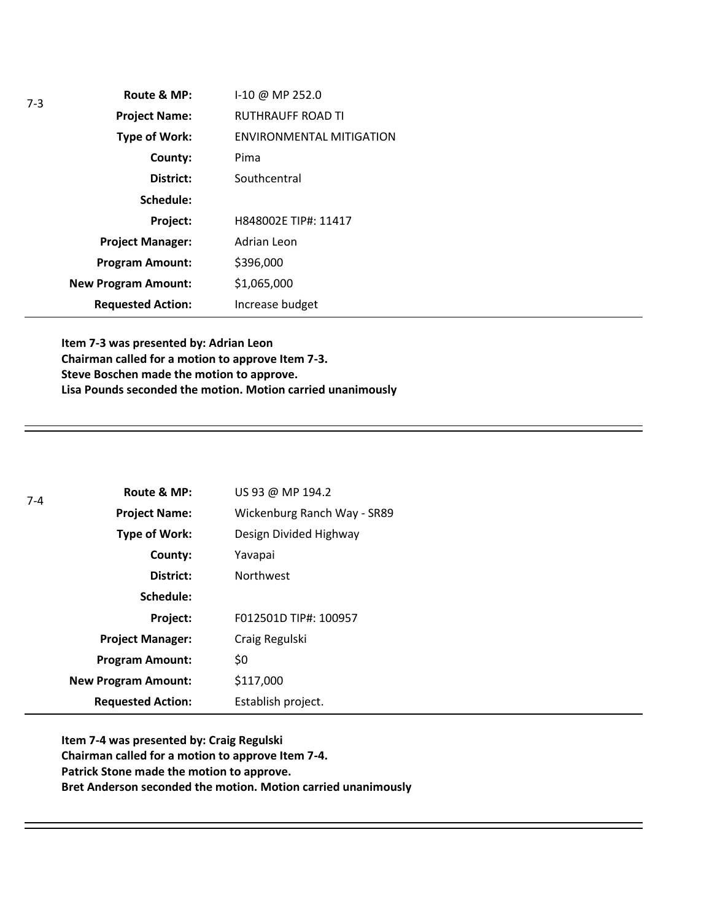| Route & MP:                | I-10 @ MP 252.0                 |
|----------------------------|---------------------------------|
| <b>Project Name:</b>       | RUTHRAUFF ROAD TI               |
| <b>Type of Work:</b>       | <b>ENVIRONMENTAL MITIGATION</b> |
| County:                    | Pima                            |
| District:                  | Southcentral                    |
| Schedule:                  |                                 |
| Project:                   | H848002E TIP#: 11417            |
| <b>Project Manager:</b>    | Adrian Leon                     |
| <b>Program Amount:</b>     | \$396,000                       |
| <b>New Program Amount:</b> | \$1,065,000                     |
| <b>Requested Action:</b>   | Increase budget                 |

**Item 7-3 was presented by: Adrian Leon Chairman called for a motion to approve Item 7-3. Steve Boschen made the motion to approve. Lisa Pounds seconded the motion. Motion carried unanimously**

| $7 - 4$ | Route & MP:                | US 93 @ MP 194.2            |
|---------|----------------------------|-----------------------------|
|         | <b>Project Name:</b>       | Wickenburg Ranch Way - SR89 |
|         | <b>Type of Work:</b>       | Design Divided Highway      |
|         | County:                    | Yavapai                     |
|         | District:                  | <b>Northwest</b>            |
|         | Schedule:                  |                             |
|         | Project:                   | F012501D TIP#: 100957       |
|         | <b>Project Manager:</b>    | Craig Regulski              |
|         | <b>Program Amount:</b>     | \$0                         |
|         | <b>New Program Amount:</b> | \$117,000                   |
|         | <b>Requested Action:</b>   | Establish project.          |

**Item 7-4 was presented by: Craig Regulski Chairman called for a motion to approve Item 7-4. Patrick Stone made the motion to approve. Bret Anderson seconded the motion. Motion carried unanimously**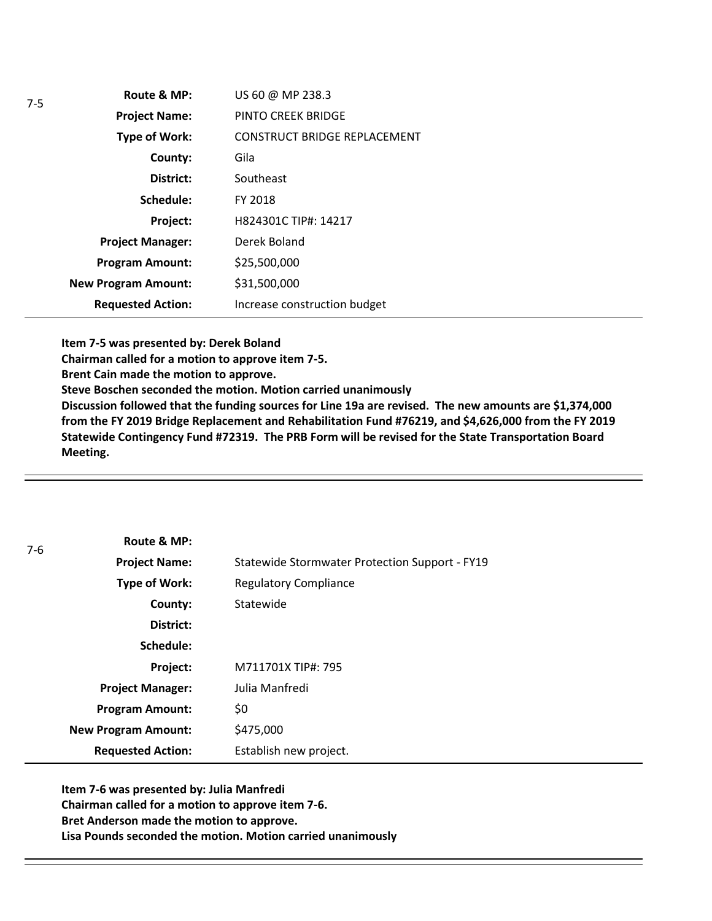| Route & MP:                | US 60 @ MP 238.3                    |
|----------------------------|-------------------------------------|
| <b>Project Name:</b>       | PINTO CREEK BRIDGE                  |
| <b>Type of Work:</b>       | <b>CONSTRUCT BRIDGE REPLACEMENT</b> |
| County:                    | Gila                                |
| District:                  | Southeast                           |
| Schedule:                  | FY 2018                             |
| Project:                   | H824301C TIP#: 14217                |
| <b>Project Manager:</b>    | Derek Boland                        |
| <b>Program Amount:</b>     | \$25,500,000                        |
| <b>New Program Amount:</b> | \$31,500,000                        |
| <b>Requested Action:</b>   | Increase construction budget        |

**Item 7-5 was presented by: Derek Boland**

**Chairman called for a motion to approve item 7-5.**

**Brent Cain made the motion to approve.**

**Steve Boschen seconded the motion. Motion carried unanimously**

**Discussion followed that the funding sources for Line 19a are revised. The new amounts are \$1,374,000 from the FY 2019 Bridge Replacement and Rehabilitation Fund #76219, and \$4,626,000 from the FY 2019 Statewide Contingency Fund #72319. The PRB Form will be revised for the State Transportation Board Meeting.** 

| $7-6$ | Route & MP:                |                                                |
|-------|----------------------------|------------------------------------------------|
|       | <b>Project Name:</b>       | Statewide Stormwater Protection Support - FY19 |
|       | <b>Type of Work:</b>       | <b>Regulatory Compliance</b>                   |
|       | County:                    | Statewide                                      |
|       | District:                  |                                                |
|       | Schedule:                  |                                                |
|       | Project:                   | M711701X TIP#: 795                             |
|       | <b>Project Manager:</b>    | Julia Manfredi                                 |
|       | <b>Program Amount:</b>     | \$0                                            |
|       | <b>New Program Amount:</b> | \$475,000                                      |
|       | <b>Requested Action:</b>   | Establish new project.                         |

**Item 7-6 was presented by: Julia Manfredi Chairman called for a motion to approve item 7-6. Bret Anderson made the motion to approve. Lisa Pounds seconded the motion. Motion carried unanimously**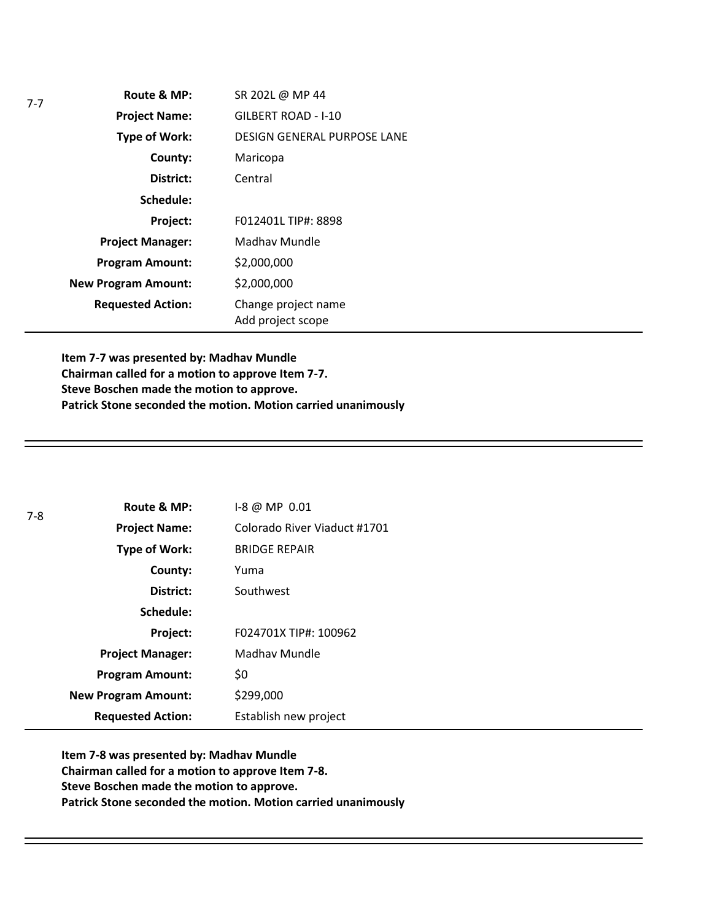| SR 202L @ MP 44                          |
|------------------------------------------|
| GILBERT ROAD - I-10                      |
| <b>DESIGN GENERAL PURPOSE LANE</b>       |
| Maricopa                                 |
| Central                                  |
|                                          |
| F012401L TIP#: 8898                      |
| Madhay Mundle                            |
| \$2,000,000                              |
| \$2,000,000                              |
| Change project name<br>Add project scope |
|                                          |

**Item 7-7 was presented by: Madhav Mundle Chairman called for a motion to approve Item 7-7. Steve Boschen made the motion to approve. Patrick Stone seconded the motion. Motion carried unanimously**

| $7-8$ | Route & MP:                | $1-8$ @ MP 0.01              |
|-------|----------------------------|------------------------------|
|       | <b>Project Name:</b>       | Colorado River Viaduct #1701 |
|       | <b>Type of Work:</b>       | <b>BRIDGE REPAIR</b>         |
|       | County:                    | Yuma                         |
|       | District:                  | Southwest                    |
|       | Schedule:                  |                              |
|       | Project:                   | F024701X TIP#: 100962        |
|       | <b>Project Manager:</b>    | Madhav Mundle                |
|       | <b>Program Amount:</b>     | \$0                          |
|       | <b>New Program Amount:</b> | \$299,000                    |
|       | <b>Requested Action:</b>   | Establish new project        |

**Item 7-8 was presented by: Madhav Mundle Chairman called for a motion to approve Item 7-8. Steve Boschen made the motion to approve. Patrick Stone seconded the motion. Motion carried unanimously**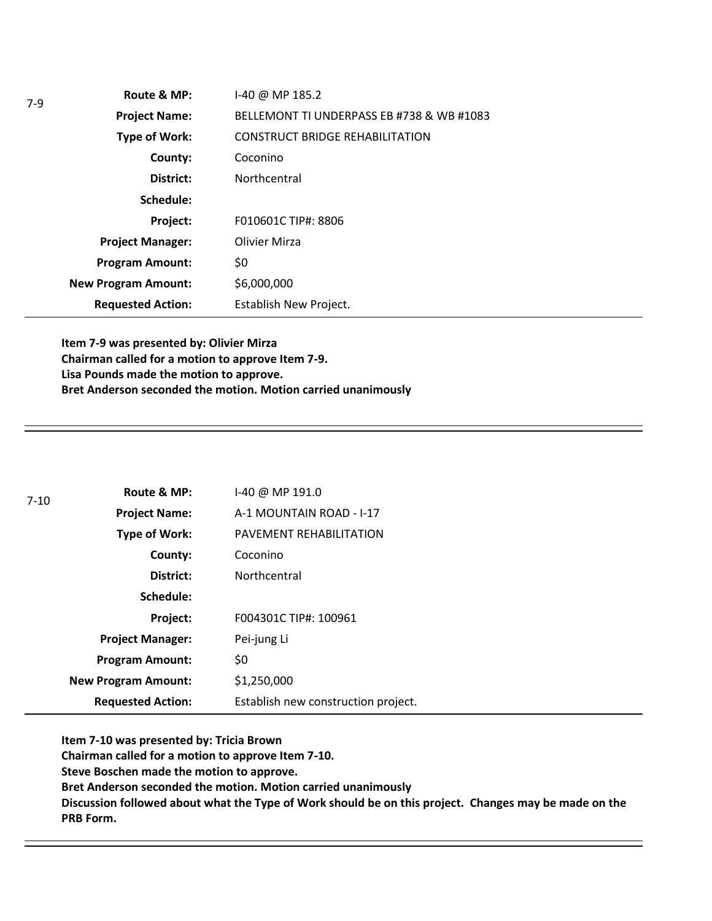| Route & MP:                | $1-40$ @ MP 185.2                         |  |
|----------------------------|-------------------------------------------|--|
| <b>Project Name:</b>       | BELLEMONT TI UNDERPASS EB #738 & WB #1083 |  |
| Type of Work:              | <b>CONSTRUCT BRIDGE REHABILITATION</b>    |  |
| County:                    | Coconino                                  |  |
| District:                  | Northcentral                              |  |
| Schedule:                  |                                           |  |
| Project:                   | F010601C TIP#: 8806                       |  |
| <b>Project Manager:</b>    | <b>Olivier Mirza</b>                      |  |
| <b>Program Amount:</b>     | \$0                                       |  |
| <b>New Program Amount:</b> | \$6,000,000                               |  |
| <b>Requested Action:</b>   | Establish New Project.                    |  |

**Item 7-9 was presented by: Olivier Mirza Chairman called for a motion to approve Item 7-9. Lisa Pounds made the motion to approve. Bret Anderson seconded the motion. Motion carried unanimously**

7-9

| $7 - 10$ | Route & MP:                | I-40 @ MP 191.0                     |
|----------|----------------------------|-------------------------------------|
|          | <b>Project Name:</b>       | A-1 MOUNTAIN ROAD - I-17            |
|          | Type of Work:              | PAVEMENT REHABILITATION             |
|          | County:                    | Coconino                            |
|          | District:                  | <b>Northcentral</b>                 |
|          | Schedule:                  |                                     |
|          | Project:                   | F004301C TIP#: 100961               |
|          | <b>Project Manager:</b>    | Pei-jung Li                         |
|          | <b>Program Amount:</b>     | \$0                                 |
|          | <b>New Program Amount:</b> | \$1,250,000                         |
|          | <b>Requested Action:</b>   | Establish new construction project. |

**Item 7-10 was presented by: Tricia Brown Chairman called for a motion to approve Item 7-10. Steve Boschen made the motion to approve. Bret Anderson seconded the motion. Motion carried unanimously Discussion followed about what the Type of Work should be on this project. Changes may be made on the PRB Form.**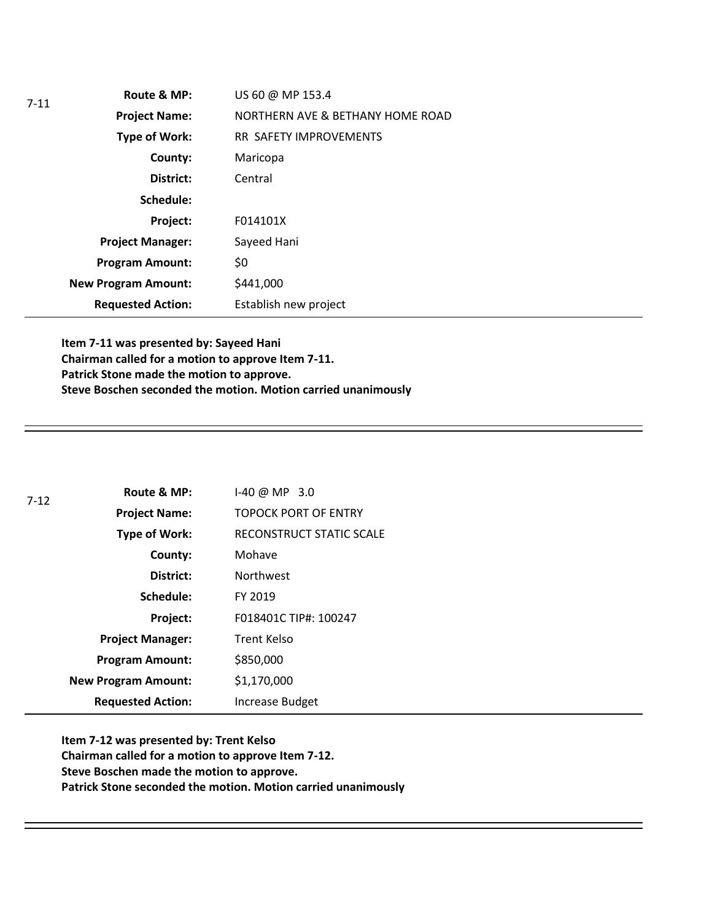| $7 - 11$ | Route & MP:                | US 60 @ MP 153.4                 |
|----------|----------------------------|----------------------------------|
|          | <b>Project Name:</b>       | NORTHERN AVE & BETHANY HOME ROAD |
|          | Type of Work:              | RR SAFETY IMPROVEMENTS           |
|          | County:                    | Maricopa                         |
|          | District:                  | Central                          |
|          | Schedule:                  |                                  |
|          | Project:                   | F014101X                         |
|          | <b>Project Manager:</b>    | Sayeed Hani                      |
|          | <b>Program Amount:</b>     | \$0                              |
|          | <b>New Program Amount:</b> | \$441,000                        |
|          | <b>Requested Action:</b>   | Establish new project            |

**Item 7-11 was presented by: Sayeed Hani Chairman called for a motion to approve Item 7-11. Patrick Stone made the motion to approve. Steve Boschen seconded the motion. Motion carried unanimously**

| 7-12 | Route & MP:                | $1-40 @ MP 3.0$             |
|------|----------------------------|-----------------------------|
|      | <b>Project Name:</b>       | <b>TOPOCK PORT OF ENTRY</b> |
|      | <b>Type of Work:</b>       | RECONSTRUCT STATIC SCALE    |
|      | County:                    | Mohave                      |
|      | District:                  | <b>Northwest</b>            |
|      | Schedule:                  | FY 2019                     |
|      | Project:                   | F018401C TIP#: 100247       |
|      | <b>Project Manager:</b>    | <b>Trent Kelso</b>          |
|      | <b>Program Amount:</b>     | \$850,000                   |
|      | <b>New Program Amount:</b> | \$1,170,000                 |
|      | <b>Requested Action:</b>   | Increase Budget             |

**Item 7-12 was presented by: Trent Kelso Chairman called for a motion to approve Item 7-12. Steve Boschen made the motion to approve. Patrick Stone seconded the motion. Motion carried unanimously**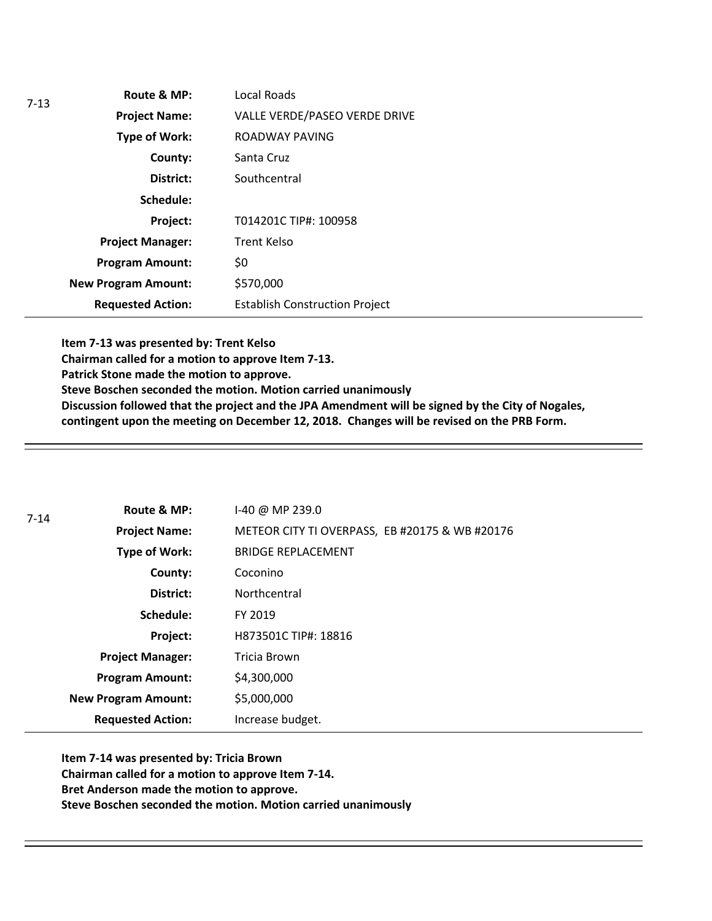| $7-13$ | Route & MP:                | Local Roads                           |
|--------|----------------------------|---------------------------------------|
|        | <b>Project Name:</b>       | VALLE VERDE/PASEO VERDE DRIVE         |
|        | <b>Type of Work:</b>       | ROADWAY PAVING                        |
|        | County:                    | Santa Cruz                            |
|        | District:                  | Southcentral                          |
|        | Schedule:                  |                                       |
|        | Project:                   | T014201C TIP#: 100958                 |
|        | <b>Project Manager:</b>    | <b>Trent Kelso</b>                    |
|        | <b>Program Amount:</b>     | \$0                                   |
|        | <b>New Program Amount:</b> | \$570,000                             |
|        | <b>Requested Action:</b>   | <b>Establish Construction Project</b> |

**Item 7-13 was presented by: Trent Kelso Chairman called for a motion to approve Item 7-13. Patrick Stone made the motion to approve. Steve Boschen seconded the motion. Motion carried unanimously Discussion followed that the project and the JPA Amendment will be signed by the City of Nogales, contingent upon the meeting on December 12, 2018. Changes will be revised on the PRB Form.** 

| $7 - 14$ | Route & MP:                | I-40 @ MP 239.0                                |
|----------|----------------------------|------------------------------------------------|
|          | <b>Project Name:</b>       | METEOR CITY TI OVERPASS, EB #20175 & WB #20176 |
|          | <b>Type of Work:</b>       | <b>BRIDGE REPLACEMENT</b>                      |
|          | County:                    | Coconino                                       |
|          | District:                  | Northcentral                                   |
|          | Schedule:                  | FY 2019                                        |
|          | Project:                   | H873501C TIP#: 18816                           |
|          | <b>Project Manager:</b>    | Tricia Brown                                   |
|          | <b>Program Amount:</b>     | \$4,300,000                                    |
|          | <b>New Program Amount:</b> | \$5,000,000                                    |
|          | <b>Requested Action:</b>   | Increase budget.                               |

**Item 7-14 was presented by: Tricia Brown Chairman called for a motion to approve Item 7-14. Bret Anderson made the motion to approve. Steve Boschen seconded the motion. Motion carried unanimously**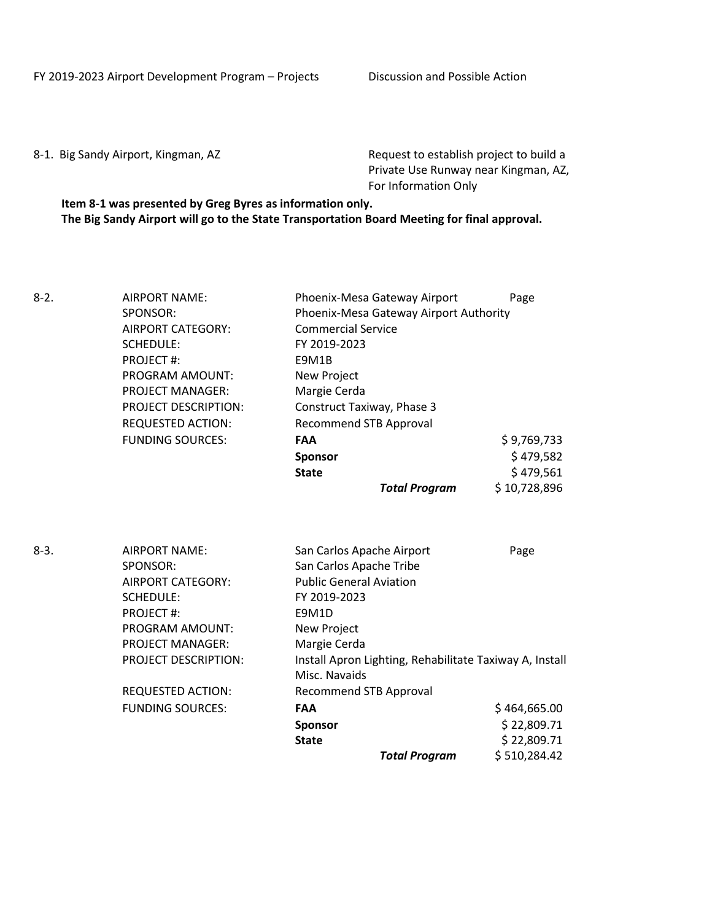FY 2019-2023 Airport Development Program – Projects Discussion and Possible Action

8-1. Big Sandy Airport, Kingman, AZ Request to establish project to build a Private Use Runway near Kingman, AZ, For Information Only

**Item 8-1 was presented by Greg Byres as information only. The Big Sandy Airport will go to the State Transportation Board Meeting for final approval.**

| $8-2.$ | AIRPORT NAME:<br>SPONSOR:<br><b>AIRPORT CATEGORY:</b><br><b>SCHEDULE:</b><br><b>PROJECT#:</b><br>PROGRAM AMOUNT:<br><b>PROJECT MANAGER:</b><br><b>PROJECT DESCRIPTION:</b><br><b>REQUESTED ACTION:</b>                     | Phoenix-Mesa Gateway Airport<br>Phoenix-Mesa Gateway Airport Authority<br><b>Commercial Service</b><br>FY 2019-2023<br>E9M1B<br>New Project<br>Margie Cerda<br>Construct Taxiway, Phase 3<br><b>Recommend STB Approval</b>                                                | Page                 |
|--------|----------------------------------------------------------------------------------------------------------------------------------------------------------------------------------------------------------------------------|---------------------------------------------------------------------------------------------------------------------------------------------------------------------------------------------------------------------------------------------------------------------------|----------------------|
|        | <b>FUNDING SOURCES:</b>                                                                                                                                                                                                    | <b>FAA</b>                                                                                                                                                                                                                                                                | \$9,769,733          |
|        |                                                                                                                                                                                                                            | <b>Sponsor</b>                                                                                                                                                                                                                                                            | \$479,582            |
|        |                                                                                                                                                                                                                            | <b>State</b>                                                                                                                                                                                                                                                              | \$479,561            |
|        |                                                                                                                                                                                                                            | <b>Total Program</b>                                                                                                                                                                                                                                                      | \$10,728,896         |
| $8-3.$ | <b>AIRPORT NAME:</b><br>SPONSOR:<br><b>AIRPORT CATEGORY:</b><br><b>SCHEDULE:</b><br><b>PROJECT#:</b><br>PROGRAM AMOUNT:<br>PROJECT MANAGER:<br>PROJECT DESCRIPTION:<br><b>REQUESTED ACTION:</b><br><b>FUNDING SOURCES:</b> | San Carlos Apache Airport<br>San Carlos Apache Tribe<br><b>Public General Aviation</b><br>FY 2019-2023<br>E9M1D<br>New Project<br>Margie Cerda<br>Install Apron Lighting, Rehabilitate Taxiway A, Install<br>Misc. Navaids<br><b>Recommend STB Approval</b><br><b>FAA</b> | Page<br>\$464,665.00 |
|        |                                                                                                                                                                                                                            | Sponsor                                                                                                                                                                                                                                                                   | \$22,809.71          |
|        |                                                                                                                                                                                                                            | <b>State</b>                                                                                                                                                                                                                                                              | \$22,809.71          |
|        |                                                                                                                                                                                                                            | <b>Total Program</b>                                                                                                                                                                                                                                                      | \$510,284.42         |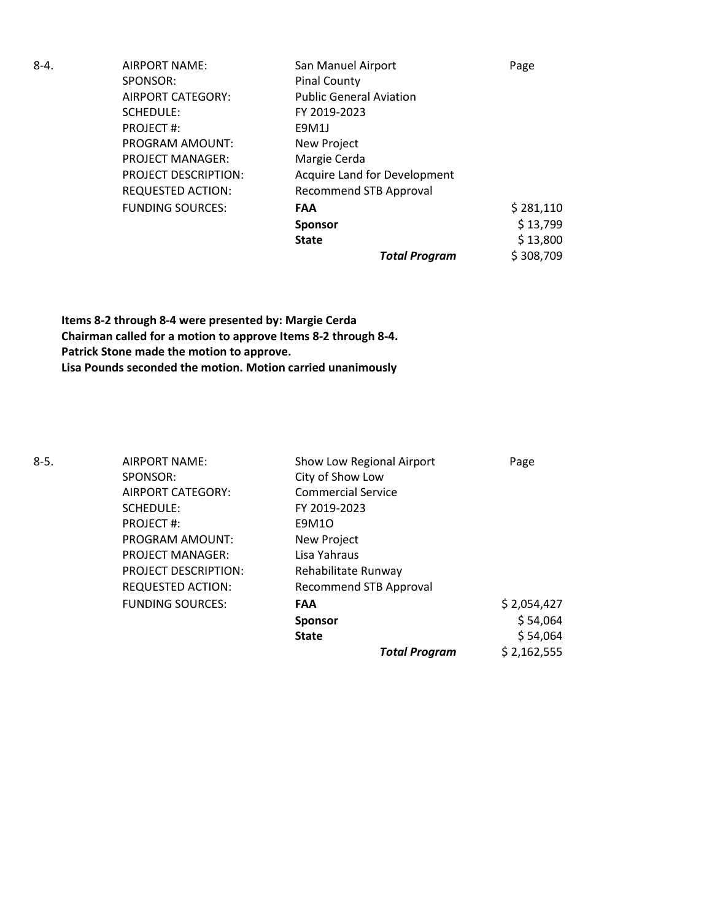| 8-4. | <b>AIRPORT NAME:</b>        | San Manuel Airport                  | Page      |
|------|-----------------------------|-------------------------------------|-----------|
|      | SPONSOR:                    | <b>Pinal County</b>                 |           |
|      | <b>AIRPORT CATEGORY:</b>    | <b>Public General Aviation</b>      |           |
|      | SCHEDULE:                   | FY 2019-2023                        |           |
|      | PROJECT#:                   | E9M1J                               |           |
|      | PROGRAM AMOUNT:             | New Project                         |           |
|      | <b>PROJECT MANAGER:</b>     | Margie Cerda                        |           |
|      | <b>PROJECT DESCRIPTION:</b> | <b>Acquire Land for Development</b> |           |
|      | <b>REQUESTED ACTION:</b>    | <b>Recommend STB Approval</b>       |           |
|      | <b>FUNDING SOURCES:</b>     | <b>FAA</b>                          | \$281,110 |
|      |                             | <b>Sponsor</b>                      | \$13,799  |
|      |                             | <b>State</b>                        | \$13,800  |
|      |                             | <b>Total Program</b>                | \$308,709 |

**Items 8-2 through 8-4 were presented by: Margie Cerda Chairman called for a motion to approve Items 8-2 through 8-4. Patrick Stone made the motion to approve. Lisa Pounds seconded the motion. Motion carried unanimously**

8-5. AIRPORT NAME: Show Low Regional Airport Page SPONSOR: City of Show Low AIRPORT CATEGORY: Commercial Service SCHEDULE: FY 2019-2023 PROJECT #: E9M1O PROGRAM AMOUNT: New Project PROJECT MANAGER: Lisa Yahraus PROJECT DESCRIPTION: Rehabilitate Runway REQUESTED ACTION: Recommend STB Approval FUNDING SOURCES: **FAA** \$ 2,054,427 **Sponsor**  $\frac{1}{5}$  54,064 **State**  $\begin{array}{c} \text{State} \\ \text{S} \\ \end{array}$ *Total Program* \$ 2,162,555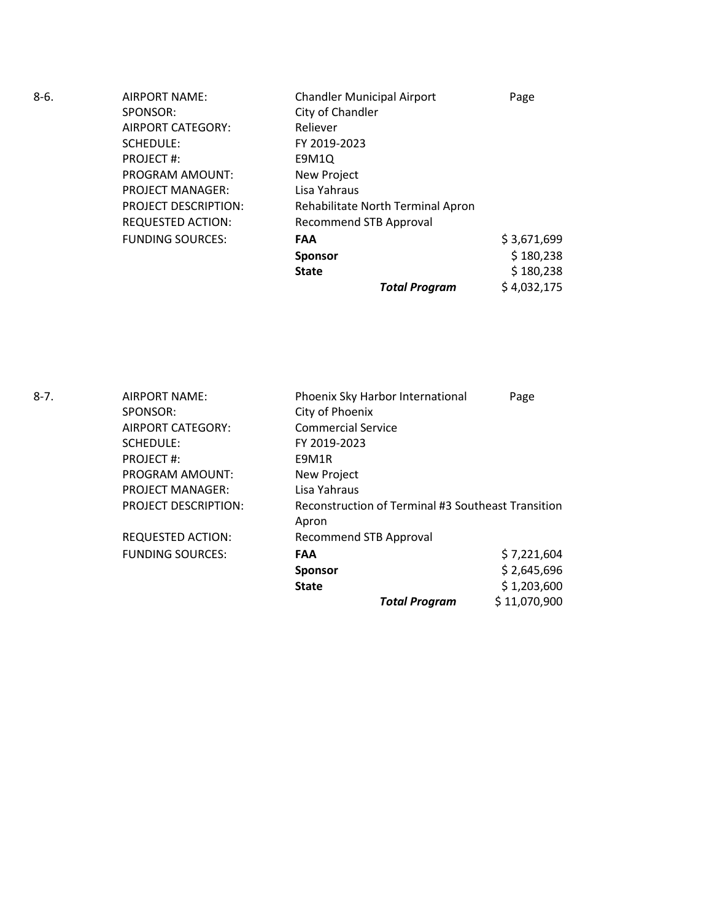| 8-6. | AIRPORT NAME:               | <b>Chandler Municipal Airport</b> | Page        |
|------|-----------------------------|-----------------------------------|-------------|
|      | SPONSOR:                    | City of Chandler                  |             |
|      | AIRPORT CATEGORY:           | Reliever                          |             |
|      | SCHEDULE:                   | FY 2019-2023                      |             |
|      | PROJECT#:                   | E9M1Q                             |             |
|      | PROGRAM AMOUNT:             | New Project                       |             |
|      | <b>PROJECT MANAGER:</b>     | Lisa Yahraus                      |             |
|      | <b>PROJECT DESCRIPTION:</b> | Rehabilitate North Terminal Apron |             |
|      | <b>REQUESTED ACTION:</b>    | <b>Recommend STB Approval</b>     |             |
|      | <b>FUNDING SOURCES:</b>     | <b>FAA</b>                        | \$3,671,699 |
|      |                             | <b>Sponsor</b>                    | \$180,238   |
|      |                             | <b>State</b>                      | \$180,238   |
|      |                             | <b>Total Program</b>              | \$4,032,175 |

| 8-7. | AIRPORT NAME:               | Phoenix Sky Harbor International                            | Page         |
|------|-----------------------------|-------------------------------------------------------------|--------------|
|      | SPONSOR:                    | City of Phoenix                                             |              |
|      | AIRPORT CATEGORY:           | <b>Commercial Service</b>                                   |              |
|      | SCHEDULE:                   | FY 2019-2023                                                |              |
|      | <b>PROJECT#:</b>            | E9M1R                                                       |              |
|      | <b>PROGRAM AMOUNT:</b>      | New Project                                                 |              |
|      | <b>PROJECT MANAGER:</b>     | Lisa Yahraus                                                |              |
|      | <b>PROJECT DESCRIPTION:</b> | Reconstruction of Terminal #3 Southeast Transition<br>Apron |              |
|      | <b>REQUESTED ACTION:</b>    | <b>Recommend STB Approval</b>                               |              |
|      | <b>FUNDING SOURCES:</b>     | <b>FAA</b>                                                  | \$7,221,604  |
|      |                             | <b>Sponsor</b>                                              | \$2,645,696  |
|      |                             | <b>State</b>                                                | \$1,203,600  |
|      |                             | <b>Total Program</b>                                        | \$11,070,900 |